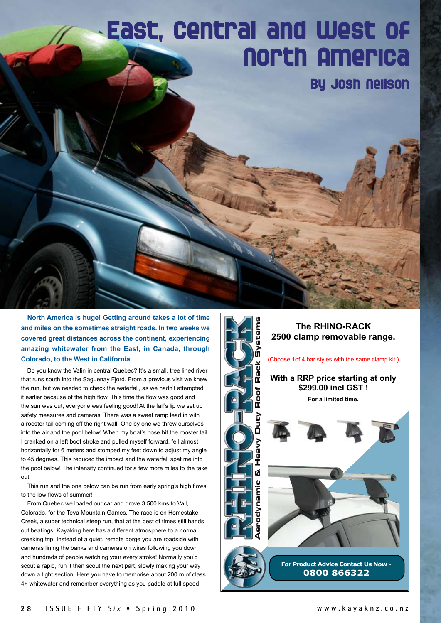## **East, Central and West of North America**

**By Josh Neilson**

**North America is huge! Getting around takes a lot of time and miles on the sometimes straight roads. In two weeks we covered great distances across the continent, experiencing amazing whitewater from the East, in Canada, through Colorado, to the West in California.** 

Do you know the Valin in central Quebec? It's a small, tree lined river that runs south into the Saguenay Fjord. From a previous visit we knew the run, but we needed to check the waterfall, as we hadn't attempted it earlier because of the high flow. This time the flow was good and the sun was out, everyone was feeling good! At the fall's lip we set up safety measures and cameras. There was a sweet ramp lead in with a rooster tail coming off the right wall. One by one we threw ourselves into the air and the pool below! When my boat's nose hit the rooster tail I cranked on a left boof stroke and pulled myself forward, fell almost horizontally for 6 meters and stomped my feet down to adjust my angle to 45 degrees. This reduced the impact and the waterfall spat me into the pool below! The intensity continued for a few more miles to the take out!

This run and the one below can be run from early spring's high flows to the low flows of summer!

From Quebec we loaded our car and drove 3,500 kms to Vail, Colorado, for the Teva Mountain Games. The race is on Homestake Creek, a super technical steep run, that at the best of times still hands out beatings! Kayaking here has a different atmosphere to a normal creeking trip! Instead of a quiet, remote gorge you are roadside with cameras lining the banks and cameras on wires following you down and hundreds of people watching your every stroke! Normally you'd scout a rapid, run it then scout the next part, slowly making your way down a tight section. Here you have to memorise about 200 m of class 4+ whitewater and remember everything as you paddle at full speed

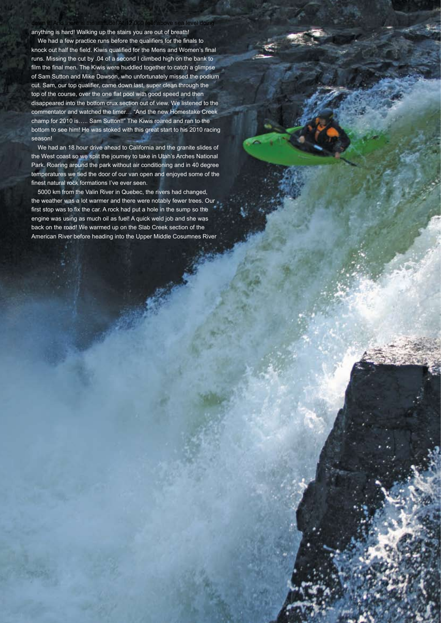anything is hard! Walking up the stairs you are out of breath!

We had a few practice runs before the qualifiers for the finals to knock out half the field. Kiwis qualified for the Mens and Women's final runs. Missing the cut by .04 of a second I climbed high on the bank to film the final men. The Kiwis were huddled together to catch a glimpse of Sam Sutton and Mike Dawson, who unfortunately missed the podium cut. Sam, our top qualifier, came down last, super clean through the top of the course, over the one flat pool with good speed and then disappeared into the bottom crux section out of view. We listened to the commentator and watched the timer… "And the new Homestake Creek champ for 2010 is….. Sam Sutton!!" The Kiwis roared and ran to the bottom to see him! He was stoked with this great start to his 2010 racing season!

ie sea level doing

We had an 18 hour drive ahead to California and the granite slides of the West coast so we split the journey to take in Utah's Arches National Park. Roaring around the park without air conditioning and in 40 degree temperatures we tied the door of our van open and enjoyed some of the finest natural rock formations I've ever seen.

5000 km from the Valin River in Quebec, the rivers had changed, the weather was a lot warmer and there were notably fewer trees. Our first stop was to fix the car. A rock had put a hole in the sump so the engine was using as much oil as fuel! A quick weld job and she was back on the road! We warmed up on the Slab Creek section of the American River before heading into the Upper Middle Cosumnes River

New Skua From Q-Kayaks!

For all the kayak specs. and stockists, visit **www.q-kayaks.co.nz** or phone **06 326 8667** *1st Plastic Sea Kayak -Trans Taupo Race 2010.*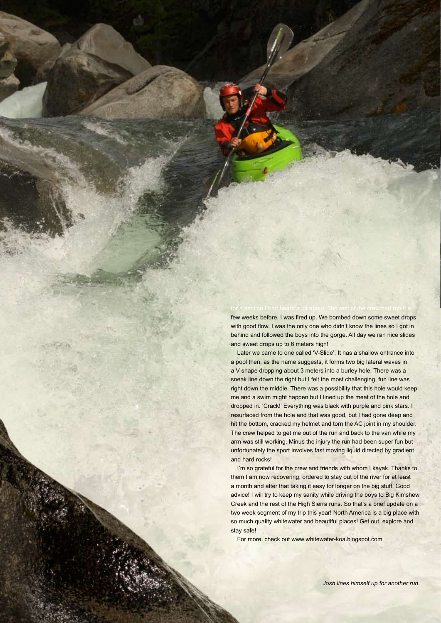few weeks before. I was fired up. We bombed down some sweet drops with good flow. I was the only one who didn't know the lines so I got in behind and followed the boys into the gorge. All day we ran nice slides and sweet drops up to 6 meters high!

Later we came to one called 'V-Slide'. It has a shallow entrance into a pool then, as the name suggests, it forms two big lateral waves in a V shape dropping about 3 meters into a burley hole. There was a sneak line down the right but I felt the most challenging, fun line was right down the middle. There was a possibility that this hole would keep me and a swim might happen but I lined up the meat of the hole and dropped in. 'Crack!' Everything was black with purple and pink stars. I resurfaced from the hole and that was good, but I had gone deep and hit the bottom, cracked my helmet and torn the AC joint in my shoulder. The crew helped to get me out of the run and back to the van while my arm was still working. Minus the injury the run had been super fun but unfortunately the sport involves fast moving liquid directed by gradient and hard rocks!

I'm so grateful for the crew and friends with whom I kayak. Thanks to them I am now recovering, ordered to stay out of the river for at least a month and after that taking it easy for longer on the big stuff. Good advice! I will try to keep my sanity while driving the boys to Big Kimshew Creek and the rest of the High Sierra runs. So that's a brief update on a two week segment of my trip this year! North America is a big place with so much quality whitewater and beautiful places! Get out, explore and stay safe!

For more, check out www.whitewater-koa.blogspot.com